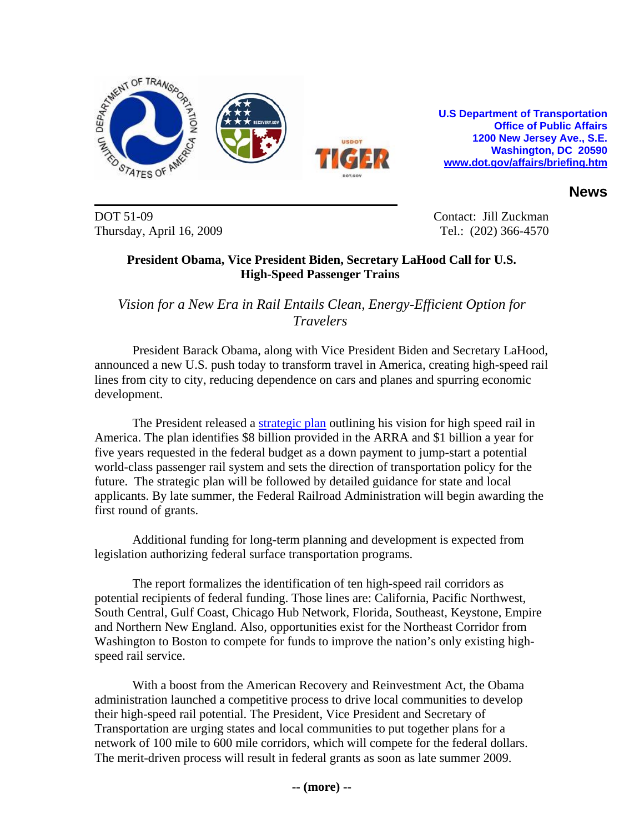

**U.S Department of Transportation Office of Public Affairs 1200 New Jersey Ave., S.E. Washington, DC 20590 www.dot.gov/affairs/briefing.htm** 

**News**

DOT 51-09 Contact: Jill Zuckman Thursday, April 16, 2009 Tel.: (202) 366-4570

## **President Obama, Vice President Biden, Secretary LaHood Call for U.S. High-Speed Passenger Trains**

## *Vision for a New Era in Rail Entails Clean, Energy-Efficient Option for Travelers*

President Barack Obama, along with Vice President Biden and Secretary LaHood, announced a new U.S. push today to transform travel in America, creating high-speed rail lines from city to city, reducing dependence on cars and planes and spurring economic development.

The President released a [strategic plan](http://www.fra.dot.gov/Downloads/RRdev/hsrstrategicplan.pdf) outlining his vision for high speed rail in America. The plan identifies \$8 billion provided in the ARRA and \$1 billion a year for five years requested in the federal budget as a down payment to jump-start a potential world-class passenger rail system and sets the direction of transportation policy for the future. The strategic plan will be followed by detailed guidance for state and local applicants. By late summer, the Federal Railroad Administration will begin awarding the first round of grants.

Additional funding for long-term planning and development is expected from legislation authorizing federal surface transportation programs.

The report formalizes the identification of ten high-speed rail corridors as potential recipients of federal funding. Those lines are: California, Pacific Northwest, South Central, Gulf Coast, Chicago Hub Network, Florida, Southeast, Keystone, Empire and Northern New England. Also, opportunities exist for the Northeast Corridor from Washington to Boston to compete for funds to improve the nation's only existing highspeed rail service.

With a boost from the American Recovery and Reinvestment Act, the Obama administration launched a competitive process to drive local communities to develop their high-speed rail potential. The President, Vice President and Secretary of Transportation are urging states and local communities to put together plans for a network of 100 mile to 600 mile corridors, which will compete for the federal dollars. The merit-driven process will result in federal grants as soon as late summer 2009.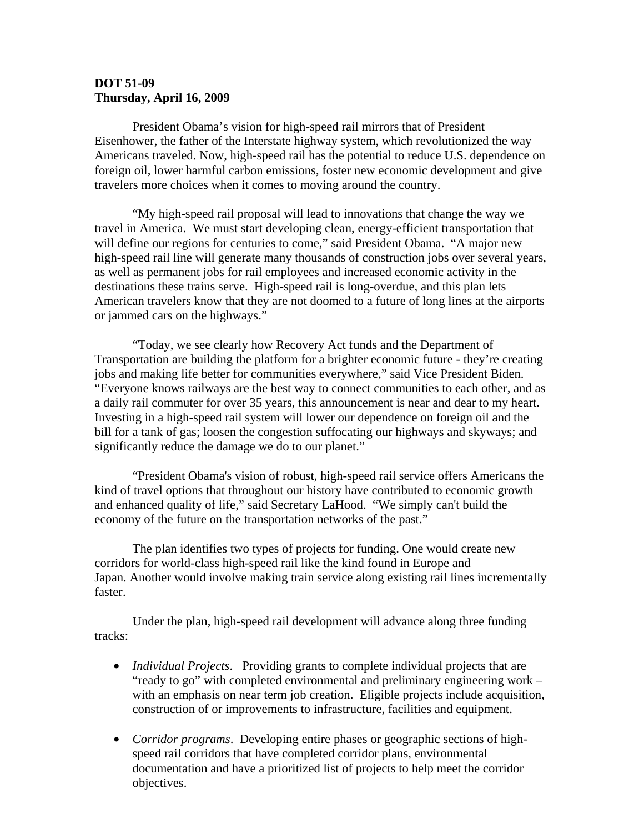## **DOT 51-09 Thursday, April 16, 2009**

President Obama's vision for high-speed rail mirrors that of President Eisenhower, the father of the Interstate highway system, which revolutionized the way Americans traveled. Now, high-speed rail has the potential to reduce U.S. dependence on foreign oil, lower harmful carbon emissions, foster new economic development and give travelers more choices when it comes to moving around the country.

"My high-speed rail proposal will lead to innovations that change the way we travel in America. We must start developing clean, energy-efficient transportation that will define our regions for centuries to come," said President Obama. "A major new high-speed rail line will generate many thousands of construction jobs over several years, as well as permanent jobs for rail employees and increased economic activity in the destinations these trains serve. High-speed rail is long-overdue, and this plan lets American travelers know that they are not doomed to a future of long lines at the airports or jammed cars on the highways."

"Today, we see clearly how Recovery Act funds and the Department of Transportation are building the platform for a brighter economic future - they're creating jobs and making life better for communities everywhere," said Vice President Biden. "Everyone knows railways are the best way to connect communities to each other, and as a daily rail commuter for over 35 years, this announcement is near and dear to my heart. Investing in a high-speed rail system will lower our dependence on foreign oil and the bill for a tank of gas; loosen the congestion suffocating our highways and skyways; and significantly reduce the damage we do to our planet."

"President Obama's vision of robust, high-speed rail service offers Americans the kind of travel options that throughout our history have contributed to economic growth and enhanced quality of life," said Secretary LaHood. "We simply can't build the economy of the future on the transportation networks of the past."

The plan identifies two types of projects for funding. One would create new corridors for world-class high-speed rail like the kind found in Europe and Japan. Another would involve making train service along existing rail lines incrementally faster.

Under the plan, high-speed rail development will advance along three funding tracks:

- *Individual Projects*. Providing grants to complete individual projects that are "ready to go" with completed environmental and preliminary engineering work – with an emphasis on near term job creation. Eligible projects include acquisition, construction of or improvements to infrastructure, facilities and equipment.
- *Corridor programs*. Developing entire phases or geographic sections of highspeed rail corridors that have completed corridor plans, environmental documentation and have a prioritized list of projects to help meet the corridor objectives.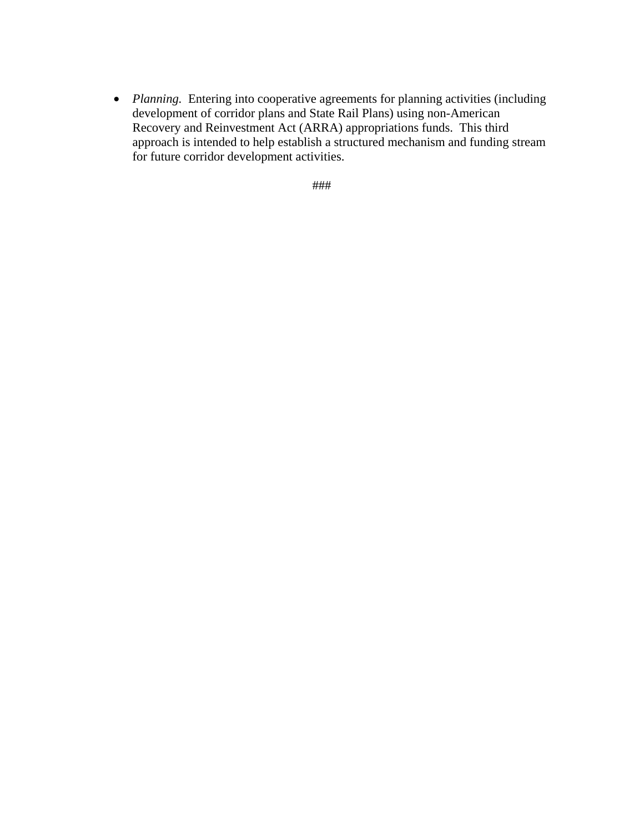• *Planning.* Entering into cooperative agreements for planning activities (including development of corridor plans and State Rail Plans) using non-American Recovery and Reinvestment Act (ARRA) appropriations funds. This third approach is intended to help establish a structured mechanism and funding stream for future corridor development activities.

###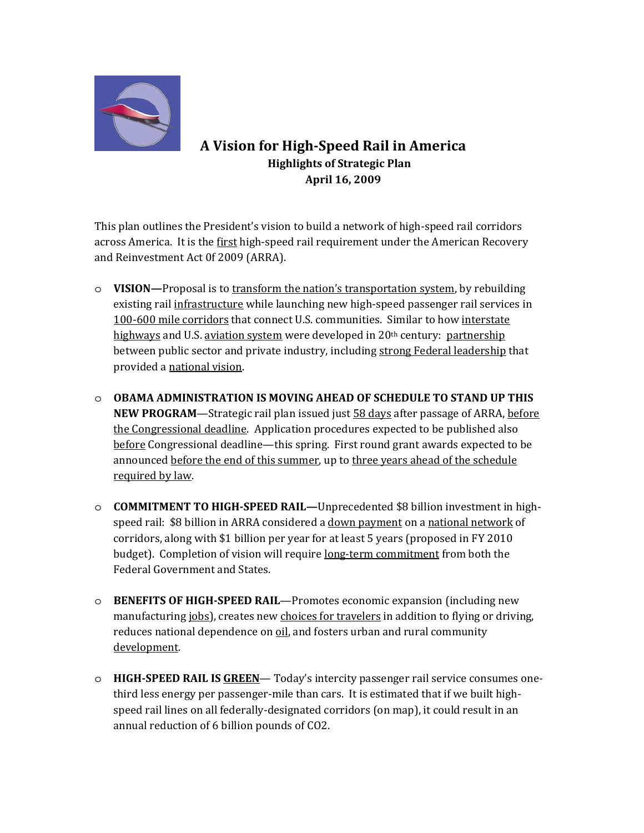

## A Vision for High-Speed Rail in America **Highlights of Strategic Plan** April 16, 2009

This plan outlines the President's vision to build a network of high-speed rail corridors across America. It is the first high-speed rail requirement under the American Recovery and Reinvestment Act 0f 2009 (ARRA).

- $\circ$  VISION—Proposal is to transform the nation's transportation system, by rebuilding existing rail infrastructure while launching new high-speed passenger rail services in 100-600 mile corridors that connect U.S. communities. Similar to how interstate highways and U.S. aviation system were developed in 20th century: partnership between public sector and private industry, including strong Federal leadership that provided a national vision.
- $\circ$  OBAMA ADMINISTRATION IS MOVING AHEAD OF SCHEDULE TO STAND UP THIS **NEW PROGRAM—Strategic rail plan issued just 58 days after passage of ARRA, before** the Congressional deadline. Application procedures expected to be published also before Congressional deadline—this spring. First round grant awards expected to be announced before the end of this summer, up to three years ahead of the schedule required by law.
- $\circ$  **COMMITMENT TO HIGH-SPEED RAIL—**Unprecedented \$8 billion investment in highspeed rail: \$8 billion in ARRA considered a down payment on a national network of corridors, along with \$1 billion per year for at least 5 years (proposed in FY 2010) budget). Completion of vision will require long-term commitment from both the **Federal Government and States.**
- $\circ$  BENEFITS OF HIGH-SPEED RAIL—Promotes economic expansion (including new manufacturing jobs), creates new choices for travelers in addition to flying or driving, reduces national dependence on oil, and fosters urban and rural community development.
- $\circ$  **HIGH-SPEED RAIL IS GREEN** Today's intercity passenger rail service consumes onethird less energy per passenger-mile than cars. It is estimated that if we built highspeed rail lines on all federally-designated corridors (on map), it could result in an annual reduction of 6 billion pounds of CO2.